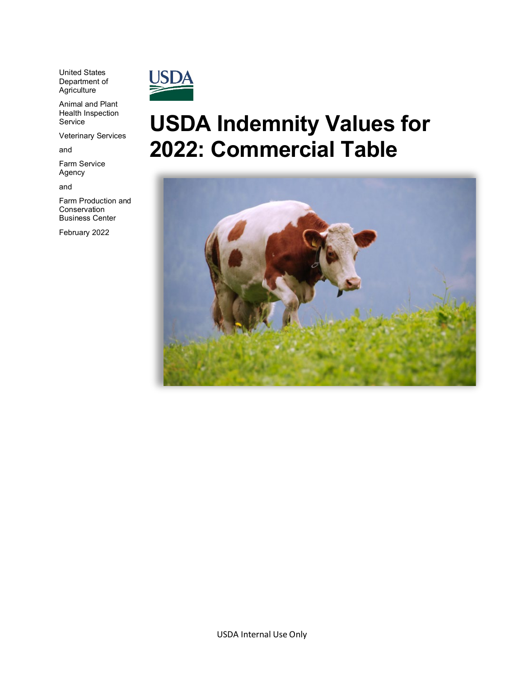United States Department of **Agriculture** 

Animal and Plant Health Inspection Service

Veterinary Services

and

Farm Service Agency

and

Farm Production and Conservation Business Center

February 2022



# **USDA Indemnity Values for 2022: Commercial Table**



USDA Internal Use Only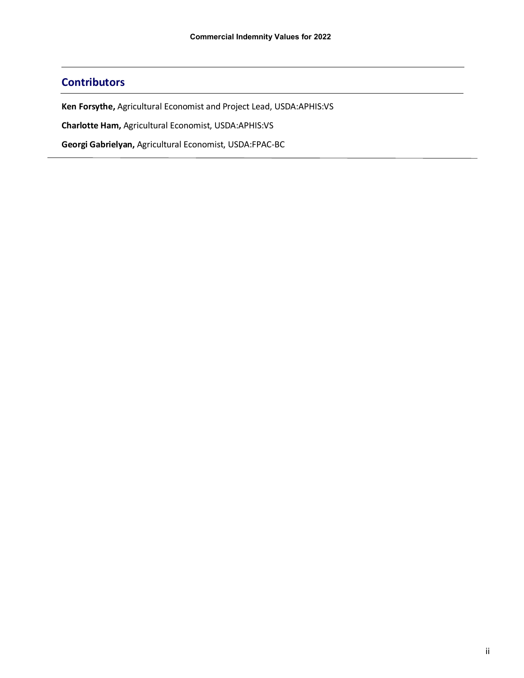### **Contributors**

**Ken Forsythe,** Agricultural Economist and Project Lead, USDA:APHIS:VS

**Charlotte Ham,** Agricultural Economist, USDA:APHIS:VS

**Georgi Gabrielyan,** Agricultural Economist, USDA:FPAC-BC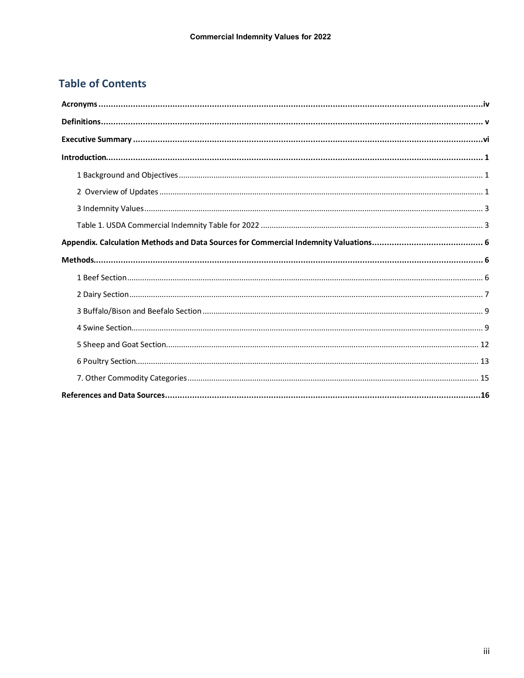### **Table of Contents**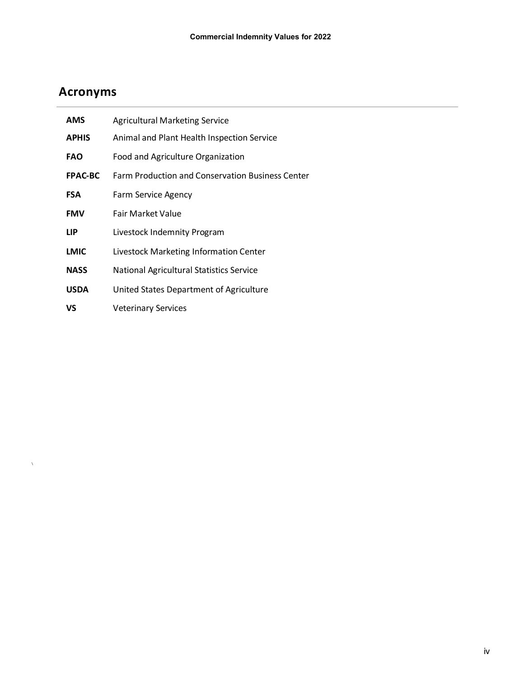# <span id="page-3-0"></span>**Acronyms**

 $\lambda$ 

| <b>AMS</b>     | <b>Agricultural Marketing Service</b>            |
|----------------|--------------------------------------------------|
| <b>APHIS</b>   | Animal and Plant Health Inspection Service       |
| <b>FAO</b>     | Food and Agriculture Organization                |
| <b>FPAC-BC</b> | Farm Production and Conservation Business Center |
| <b>FSA</b>     | Farm Service Agency                              |
| <b>FMV</b>     | Fair Market Value                                |
| <b>LIP</b>     | Livestock Indemnity Program                      |
| <b>LMIC</b>    | Livestock Marketing Information Center           |
| <b>NASS</b>    | National Agricultural Statistics Service         |
| <b>USDA</b>    | United States Department of Agriculture          |
| VS             | Veterinary Services                              |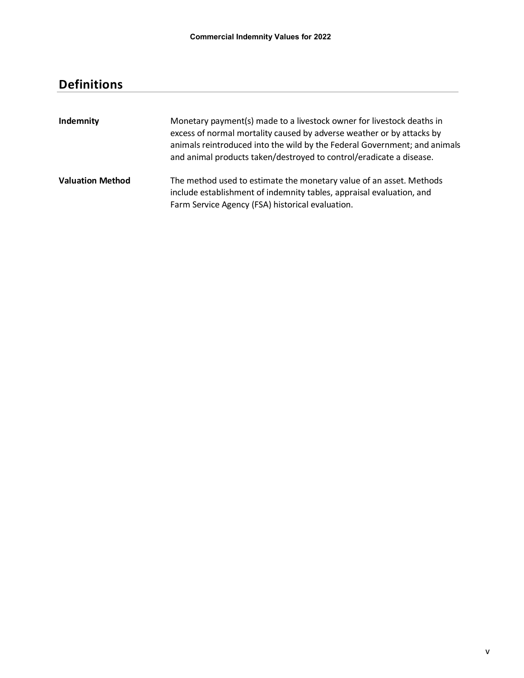# <span id="page-4-0"></span>**Definitions**

| Indemnity               | Monetary payment(s) made to a livestock owner for livestock deaths in<br>excess of normal mortality caused by adverse weather or by attacks by<br>animals reintroduced into the wild by the Federal Government; and animals<br>and animal products taken/destroyed to control/eradicate a disease. |
|-------------------------|----------------------------------------------------------------------------------------------------------------------------------------------------------------------------------------------------------------------------------------------------------------------------------------------------|
| <b>Valuation Method</b> | The method used to estimate the monetary value of an asset. Methods<br>include establishment of indemnity tables, appraisal evaluation, and<br>Farm Service Agency (FSA) historical evaluation.                                                                                                    |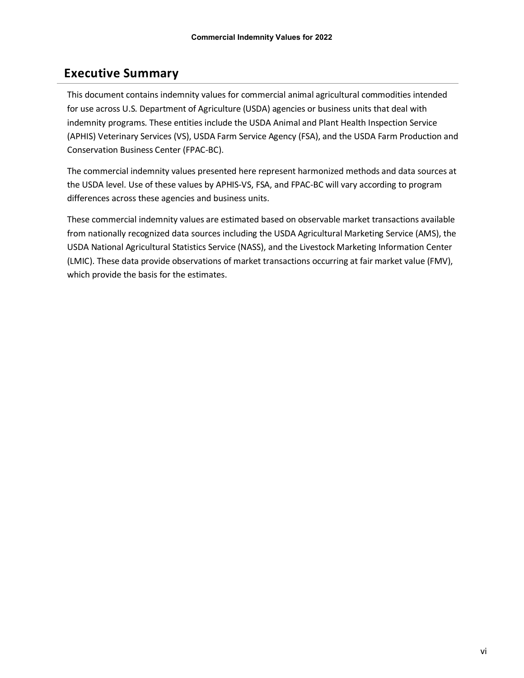## <span id="page-5-0"></span>**Executive Summary**

This document contains indemnity values for commercial animal agricultural commodities intended for use across U.S. Department of Agriculture (USDA) agencies or business units that deal with indemnity programs. These entities include the USDA Animal and Plant Health Inspection Service (APHIS) Veterinary Services (VS), USDA Farm Service Agency (FSA), and the USDA Farm Production and Conservation Business Center (FPAC-BC).

The commercial indemnity values presented here represent harmonized methods and data sources at the USDA level. Use of these values by APHIS-VS, FSA, and FPAC-BC will vary according to program differences across these agencies and business units.

These commercial indemnity values are estimated based on observable market transactions available from nationally recognized data sources including the USDA Agricultural Marketing Service (AMS), the USDA National Agricultural Statistics Service (NASS), and the Livestock Marketing Information Center (LMIC). These data provide observations of market transactions occurring at fair market value (FMV), which provide the basis for the estimates.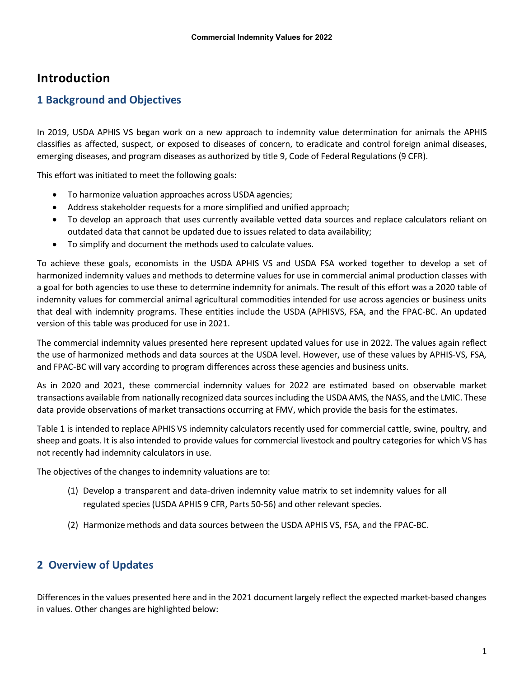### <span id="page-6-0"></span>**Introduction**

### <span id="page-6-1"></span>**1 Background and Objectives**

In 2019, USDA APHIS VS began work on a new approach to indemnity value determination for animals the APHIS classifies as affected, suspect, or exposed to diseases of concern, to eradicate and control foreign animal diseases, emerging diseases, and program diseases as authorized by title 9, Code of Federal Regulations (9 CFR).

This effort was initiated to meet the following goals:

- To harmonize valuation approaches across USDA agencies;
- Address stakeholder requests for a more simplified and unified approach;
- To develop an approach that uses currently available vetted data sources and replace calculators reliant on outdated data that cannot be updated due to issues related to data availability;
- To simplify and document the methods used to calculate values.

To achieve these goals, economists in the USDA APHIS VS and USDA FSA worked together to develop a set of harmonized indemnity values and methods to determine values for use in commercial animal production classes with a goal for both agencies to use these to determine indemnity for animals. The result of this effort was a 2020 table of indemnity values for commercial animal agricultural commodities intended for use across agencies or business units that deal with indemnity programs. These entities include the USDA (APHISVS, FSA, and the FPAC-BC. An updated version of this table was produced for use in 2021.

The commercial indemnity values presented here represent updated values for use in 2022. The values again reflect the use of harmonized methods and data sources at the USDA level. However, use of these values by APHIS-VS, FSA, and FPAC-BC will vary according to program differences across these agencies and business units.

As in 2020 and 2021, these commercial indemnity values for 2022 are estimated based on observable market transactions available from nationally recognized data sources including the USDA AMS, the NASS, and the LMIC. These data provide observations of market transactions occurring at FMV, which provide the basis for the estimates.

Table 1 is intended to replace APHIS VS indemnity calculators recently used for commercial cattle, swine, poultry, and sheep and goats. It is also intended to provide values for commercial livestock and poultry categories for which VS has not recently had indemnity calculators in use.

The objectives of the changes to indemnity valuations are to:

- (1) Develop a transparent and data-driven indemnity value matrix to set indemnity values for all regulated species (USDA APHIS 9 CFR, Parts 50-56) and other relevant species.
- (2) Harmonize methods and data sources between the USDA APHIS VS, FSA, and the FPAC-BC.

### <span id="page-6-2"></span>**2 Overview of Updates**

Differences in the values presented here and in the 2021 document largely reflect the expected market-based changes in values. Other changes are highlighted below: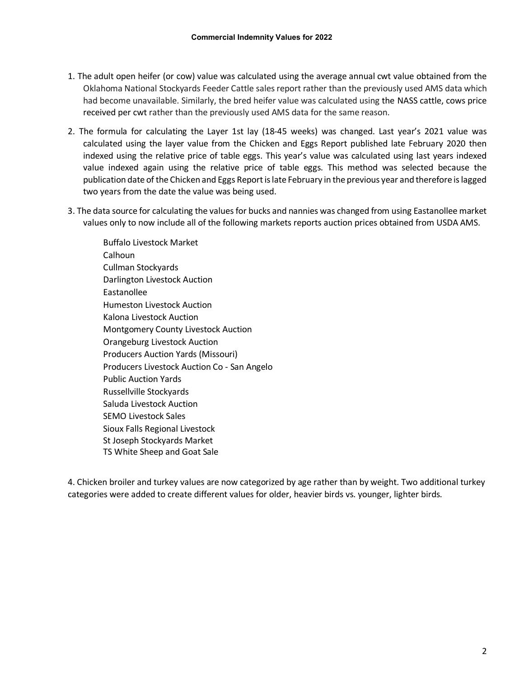- 1. The adult open heifer (or cow) value was calculated using the average annual cwt value obtained from the Oklahoma National Stockyards Feeder Cattle sales report rather than the previously used AMS data which had become unavailable. Similarly, the bred heifer value was calculated using the NASS cattle, cows price received per cwt rather than the previously used AMS data for the same reason.
- 2. The formula for calculating the Layer 1st lay (18-45 weeks) was changed. Last year's 2021 value was calculated using the layer value from the Chicken and Eggs Report published late February 2020 then indexed using the relative price of table eggs. This year's value was calculated using last years indexed value indexed again using the relative price of table eggs. This method was selected because the publication date of the Chicken and Eggs Report is late February in the previous year and therefore is lagged two years from the date the value was being used.
- 3. The data source for calculating the values for bucks and nannies was changed from using Eastanollee market values only to now include all of the following markets reports auction prices obtained from USDA AMS.

Buffalo Livestock Market Calhoun Cullman Stockyards Darlington Livestock Auction Eastanollee Humeston Livestock Auction Kalona Livestock Auction Montgomery County Livestock Auction Orangeburg Livestock Auction Producers Auction Yards (Missouri) Producers Livestock Auction Co - San Angelo Public Auction Yards Russellville Stockyards Saluda Livestock Auction SEMO Livestock Sales Sioux Falls Regional Livestock St Joseph Stockyards Market TS White Sheep and Goat Sale

4. Chicken broiler and turkey values are now categorized by age rather than by weight. Two additional turkey categories were added to create different values for older, heavier birds vs. younger, lighter birds.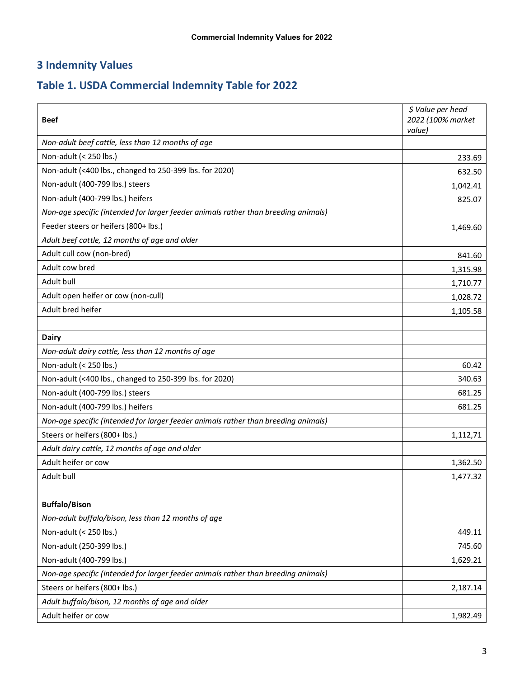# <span id="page-8-0"></span>**3 Indemnity Values**

# <span id="page-8-1"></span>**Table 1. USDA Commercial Indemnity Table for 2022**

|                                                                                    | \$ Value per head           |
|------------------------------------------------------------------------------------|-----------------------------|
| <b>Beef</b>                                                                        | 2022 (100% market<br>value) |
| Non-adult beef cattle, less than 12 months of age                                  |                             |
| Non-adult (< 250 lbs.)                                                             | 233.69                      |
| Non-adult (<400 lbs., changed to 250-399 lbs. for 2020)                            | 632.50                      |
| Non-adult (400-799 lbs.) steers                                                    | 1,042.41                    |
| Non-adult (400-799 lbs.) heifers                                                   | 825.07                      |
| Non-age specific (intended for larger feeder animals rather than breeding animals) |                             |
| Feeder steers or heifers (800+ lbs.)                                               | 1,469.60                    |
| Adult beef cattle, 12 months of age and older                                      |                             |
| Adult cull cow (non-bred)                                                          | 841.60                      |
| Adult cow bred                                                                     | 1,315.98                    |
| Adult bull                                                                         | 1,710.77                    |
| Adult open heifer or cow (non-cull)                                                | 1,028.72                    |
| Adult bred heifer                                                                  | 1,105.58                    |
|                                                                                    |                             |
| <b>Dairy</b>                                                                       |                             |
| Non-adult dairy cattle, less than 12 months of age                                 |                             |
| Non-adult (< 250 lbs.)                                                             | 60.42                       |
| Non-adult (<400 lbs., changed to 250-399 lbs. for 2020)                            | 340.63                      |
| Non-adult (400-799 lbs.) steers                                                    | 681.25                      |
| Non-adult (400-799 lbs.) heifers                                                   | 681.25                      |
| Non-age specific (intended for larger feeder animals rather than breeding animals) |                             |
| Steers or heifers (800+ lbs.)                                                      | 1,112,71                    |
| Adult dairy cattle, 12 months of age and older                                     |                             |
| Adult heifer or cow                                                                | 1,362.50                    |
| Adult bull                                                                         | 1,477.32                    |
|                                                                                    |                             |
| <b>Buffalo/Bison</b>                                                               |                             |
| Non-adult buffalo/bison, less than 12 months of age                                |                             |
| Non-adult (< 250 lbs.)                                                             | 449.11                      |
| Non-adult (250-399 lbs.)                                                           | 745.60                      |
| Non-adult (400-799 lbs.)                                                           | 1,629.21                    |
| Non-age specific (intended for larger feeder animals rather than breeding animals) |                             |
| Steers or heifers (800+ lbs.)                                                      | 2,187.14                    |
| Adult buffalo/bison, 12 months of age and older                                    |                             |
| Adult heifer or cow                                                                | 1,982.49                    |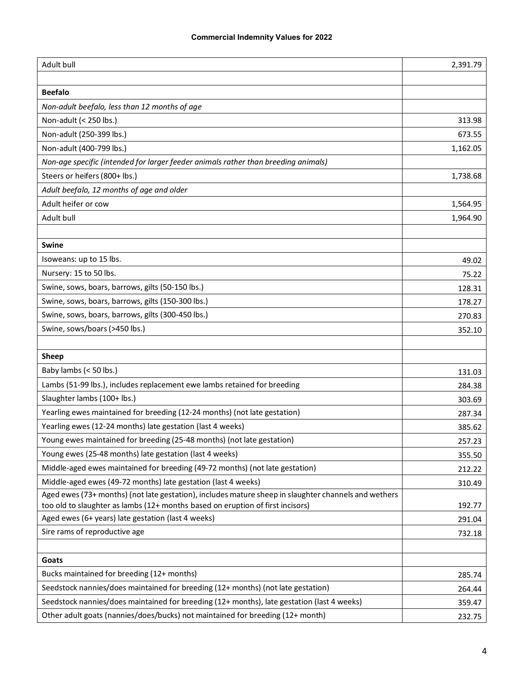| Adult bull                                                                                                                                                                             | 2,391.79 |
|----------------------------------------------------------------------------------------------------------------------------------------------------------------------------------------|----------|
|                                                                                                                                                                                        |          |
| <b>Beefalo</b>                                                                                                                                                                         |          |
| Non-adult beefalo, less than 12 months of age                                                                                                                                          |          |
| Non-adult (< 250 lbs.)                                                                                                                                                                 | 313.98   |
| Non-adult (250-399 lbs.)                                                                                                                                                               | 673.55   |
| Non-adult (400-799 lbs.)                                                                                                                                                               | 1,162.05 |
| Non-age specific (intended for larger feeder animals rather than breeding animals)                                                                                                     |          |
| Steers or heifers (800+ lbs.)                                                                                                                                                          | 1,738.68 |
| Adult beefalo, 12 months of age and older                                                                                                                                              |          |
| Adult heifer or cow                                                                                                                                                                    | 1,564.95 |
| Adult bull                                                                                                                                                                             | 1,964.90 |
|                                                                                                                                                                                        |          |
| <b>Swine</b>                                                                                                                                                                           |          |
| Isoweans: up to 15 lbs.                                                                                                                                                                | 49.02    |
| Nursery: 15 to 50 lbs.                                                                                                                                                                 | 75.22    |
| Swine, sows, boars, barrows, gilts (50-150 lbs.)                                                                                                                                       | 128.31   |
| Swine, sows, boars, barrows, gilts (150-300 lbs.)                                                                                                                                      | 178.27   |
| Swine, sows, boars, barrows, gilts (300-450 lbs.)                                                                                                                                      | 270.83   |
| Swine, sows/boars (>450 lbs.)                                                                                                                                                          | 352.10   |
|                                                                                                                                                                                        |          |
| <b>Sheep</b>                                                                                                                                                                           |          |
| Baby lambs (< 50 lbs.)                                                                                                                                                                 | 131.03   |
| Lambs (51-99 lbs.), includes replacement ewe lambs retained for breeding                                                                                                               | 284.38   |
| Slaughter lambs (100+ lbs.)                                                                                                                                                            | 303.69   |
| Yearling ewes maintained for breeding (12-24 months) (not late gestation)                                                                                                              | 287.34   |
| Yearling ewes (12-24 months) late gestation (last 4 weeks)                                                                                                                             | 385.62   |
| Young ewes maintained for breeding (25-48 months) (not late gestation)                                                                                                                 | 257.23   |
| Young ewes (25-48 months) late gestation (last 4 weeks)                                                                                                                                | 355.50   |
| Middle-aged ewes maintained for breeding (49-72 months) (not late gestation)                                                                                                           | 212.22   |
| Middle-aged ewes (49-72 months) late gestation (last 4 weeks)                                                                                                                          | 310.49   |
| Aged ewes (73+ months) (not late gestation), includes mature sheep in slaughter channels and wethers<br>too old to slaughter as lambs (12+ months based on eruption of first incisors) | 192.77   |
| Aged ewes (6+ years) late gestation (last 4 weeks)                                                                                                                                     | 291.04   |
| Sire rams of reproductive age                                                                                                                                                          | 732.18   |
|                                                                                                                                                                                        |          |
| Goats                                                                                                                                                                                  |          |
| Bucks maintained for breeding (12+ months)                                                                                                                                             | 285.74   |
| Seedstock nannies/does maintained for breeding (12+ months) (not late gestation)                                                                                                       | 264.44   |
| Seedstock nannies/does maintained for breeding (12+ months), late gestation (last 4 weeks)                                                                                             | 359.47   |
| Other adult goats (nannies/does/bucks) not maintained for breeding (12+ month)                                                                                                         | 232.75   |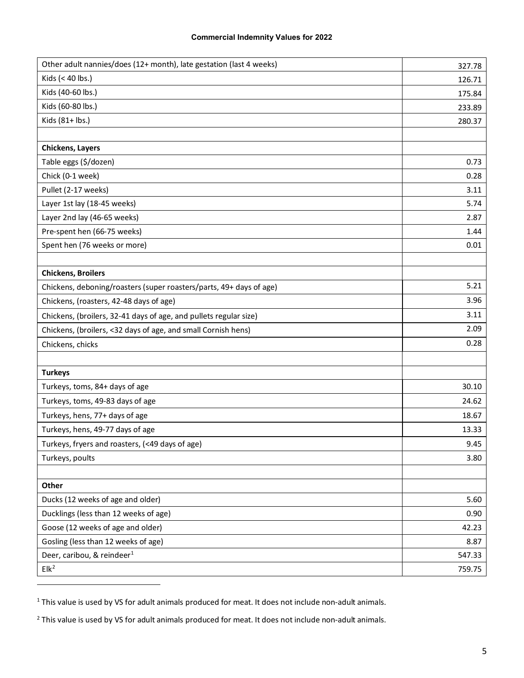| Other adult nannies/does (12+ month), late gestation (last 4 weeks) | 327.78 |
|---------------------------------------------------------------------|--------|
| Kids (< 40 lbs.)                                                    | 126.71 |
| Kids (40-60 lbs.)                                                   | 175.84 |
| Kids (60-80 lbs.)                                                   | 233.89 |
| Kids (81+ lbs.)                                                     | 280.37 |
|                                                                     |        |
| <b>Chickens, Layers</b>                                             |        |
| Table eggs (\$/dozen)                                               | 0.73   |
| Chick (0-1 week)                                                    | 0.28   |
| Pullet (2-17 weeks)                                                 | 3.11   |
| Layer 1st lay (18-45 weeks)                                         | 5.74   |
| Layer 2nd lay (46-65 weeks)                                         | 2.87   |
| Pre-spent hen (66-75 weeks)                                         | 1.44   |
| Spent hen (76 weeks or more)                                        | 0.01   |
|                                                                     |        |
| <b>Chickens, Broilers</b>                                           |        |
| Chickens, deboning/roasters (super roasters/parts, 49+ days of age) | 5.21   |
| Chickens, (roasters, 42-48 days of age)                             | 3.96   |
| Chickens, (broilers, 32-41 days of age, and pullets regular size)   | 3.11   |
| Chickens, (broilers, <32 days of age, and small Cornish hens)       | 2.09   |
| Chickens, chicks                                                    | 0.28   |
|                                                                     |        |
| <b>Turkeys</b>                                                      |        |
| Turkeys, toms, 84+ days of age                                      | 30.10  |
| Turkeys, toms, 49-83 days of age                                    | 24.62  |
| Turkeys, hens, 77+ days of age                                      | 18.67  |
| Turkeys, hens, 49-77 days of age                                    | 13.33  |
| Turkeys, fryers and roasters, (<49 days of age)                     | 9.45   |
| Turkeys, poults                                                     | 3.80   |
|                                                                     |        |
| Other                                                               |        |
| Ducks (12 weeks of age and older)                                   | 5.60   |
| Ducklings (less than 12 weeks of age)                               | 0.90   |
| Goose (12 weeks of age and older)                                   | 42.23  |
| Gosling (less than 12 weeks of age)                                 | 8.87   |
| Deer, caribou, & reindeer <sup>1</sup>                              | 547.33 |
| Elk <sup>2</sup>                                                    | 759.75 |

<span id="page-10-0"></span><sup>&</sup>lt;sup>1</sup> This value is used by VS for adult animals produced for meat. It does not include non-adult animals.

<span id="page-10-1"></span><sup>&</sup>lt;sup>2</sup> This value is used by VS for adult animals produced for meat. It does not include non-adult animals.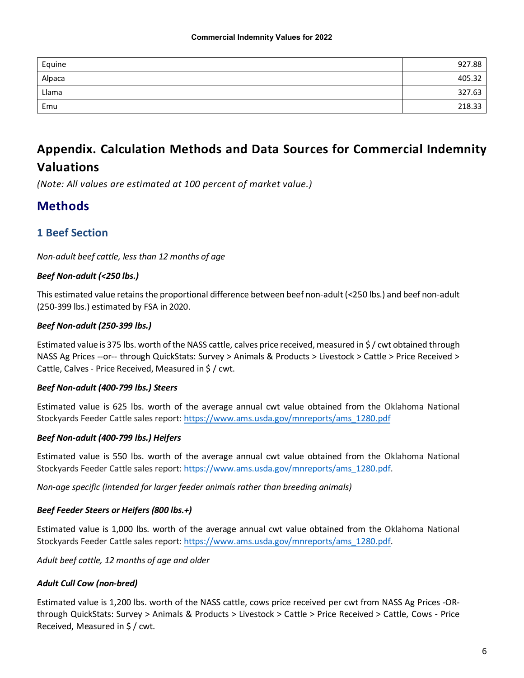| Equine | 927.88 |
|--------|--------|
| Alpaca | 405.32 |
| Llama  | 327.63 |
| Emu    | 218.33 |

# <span id="page-11-0"></span>**Appendix. Calculation Methods and Data Sources for Commercial Indemnity Valuations**

*(Note: All values are estimated at 100 percent of market value.)*

# <span id="page-11-1"></span>**Methods**

### <span id="page-11-2"></span>**1 Beef Section**

*Non-adult beef cattle, less than 12 months of age*

### *Beef Non-adult (<250 lbs.)*

This estimated value retains the proportional difference between beef non-adult (<250 lbs.) and beef non-adult (250-399 lbs.) estimated by FSA in 2020.

### *Beef Non-adult (250-399 lbs.)*

Estimated value is 375 lbs. worth of the NASS cattle, calves price received, measured in \$ / cwt obtained through NASS Ag Prices --or-- through QuickStats: Survey > Animals & Products > Livestock > Cattle > Price Received > Cattle, Calves - Price Received, Measured in \$ / cwt.

### *Beef Non-adult (400-799 lbs.) Steers*

Estimated value is 625 lbs. worth of the average annual cwt value obtained from the Oklahoma National Stockyards Feeder Cattle sales report: [https://www.ams.usda.gov/mnreports/ams\\_1280.pdf](https://gcc02.safelinks.protection.outlook.com/?url=https%3A%2F%2Fwww.ams.usda.gov%2Fmnreports%2Fams_1280.pdf&data=04%7C01%7C%7Caaf6ed102c834939f4f308d8b6723087%7Ced5b36e701ee4ebc867ee03cfa0d4697%7C0%7C0%7C637459948843539535%7CUnknown%7CTWFpbGZsb3d8eyJWIjoiMC4wLjAwMDAiLCJQIjoiV2luMzIiLCJBTiI6Ik1haWwiLCJXVCI6Mn0%3D%7C1000&sdata=xgPHXcVSUj6oM4iFZLue0vD%2Fol34NpazStKa7VHYkqI%3D&reserved=0)

### *Beef Non-adult (400-799 lbs.) Heifers*

Estimated value is 550 lbs. worth of the average annual cwt value obtained from the Oklahoma National Stockyards Feeder Cattle sales report: [https://www.ams.usda.gov/mnreports/ams\\_1280.pdf.](https://gcc02.safelinks.protection.outlook.com/?url=https%3A%2F%2Fwww.ams.usda.gov%2Fmnreports%2Fams_1280.pdf&data=04%7C01%7C%7Caaf6ed102c834939f4f308d8b6723087%7Ced5b36e701ee4ebc867ee03cfa0d4697%7C0%7C0%7C637459948843539535%7CUnknown%7CTWFpbGZsb3d8eyJWIjoiMC4wLjAwMDAiLCJQIjoiV2luMzIiLCJBTiI6Ik1haWwiLCJXVCI6Mn0%3D%7C1000&sdata=xgPHXcVSUj6oM4iFZLue0vD%2Fol34NpazStKa7VHYkqI%3D&reserved=0)

*Non-age specific (intended for larger feeder animals rather than breeding animals)*

### *Beef Feeder Steers or Heifers (800 lbs.+)*

Estimated value is 1,000 lbs. worth of the average annual cwt value obtained from the Oklahoma National Stockyards Feeder Cattle sales report: [https://www.ams.usda.gov/mnreports/ams\\_1280.pdf.](https://gcc02.safelinks.protection.outlook.com/?url=https%3A%2F%2Fwww.ams.usda.gov%2Fmnreports%2Fams_1280.pdf&data=04%7C01%7C%7Caaf6ed102c834939f4f308d8b6723087%7Ced5b36e701ee4ebc867ee03cfa0d4697%7C0%7C0%7C637459948843539535%7CUnknown%7CTWFpbGZsb3d8eyJWIjoiMC4wLjAwMDAiLCJQIjoiV2luMzIiLCJBTiI6Ik1haWwiLCJXVCI6Mn0%3D%7C1000&sdata=xgPHXcVSUj6oM4iFZLue0vD%2Fol34NpazStKa7VHYkqI%3D&reserved=0)

*Adult beef cattle, 12 months of age and older*

### *Adult Cull Cow (non-bred)*

Estimated value is 1,200 lbs. worth of the NASS cattle, cows price received per cwt from NASS Ag Prices -ORthrough QuickStats: Survey > Animals & Products > Livestock > Cattle > Price Received > Cattle, Cows - Price Received, Measured in \$ / cwt.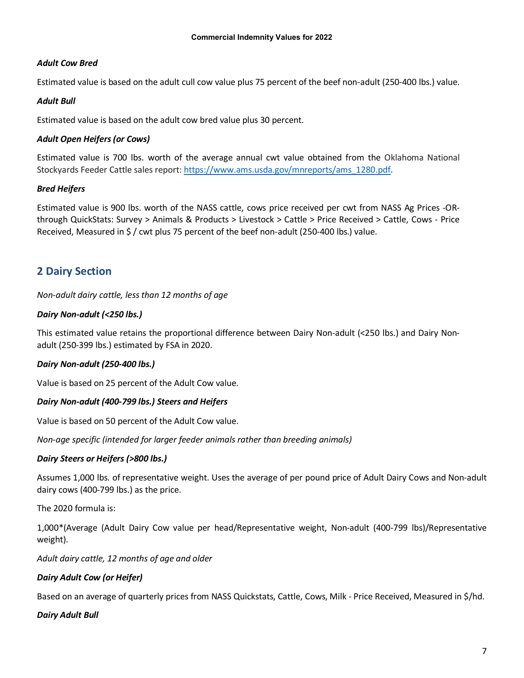### *Adult Cow Bred*

Estimated value is based on the adult cull cow value plus 75 percent of the beef non-adult (250-400 lbs.) value.

### *Adult Bull*

Estimated value is based on the adult cow bred value plus 30 percent.

### *Adult Open Heifers (or Cows)*

Estimated value is 700 lbs. worth of the average annual cwt value obtained from the Oklahoma National Stockyards Feeder Cattle sales report: [https://www.ams.usda.gov/mnreports/ams\\_1280.pdf.](https://gcc02.safelinks.protection.outlook.com/?url=https%3A%2F%2Fwww.ams.usda.gov%2Fmnreports%2Fams_1280.pdf&data=04%7C01%7C%7Caaf6ed102c834939f4f308d8b6723087%7Ced5b36e701ee4ebc867ee03cfa0d4697%7C0%7C0%7C637459948843539535%7CUnknown%7CTWFpbGZsb3d8eyJWIjoiMC4wLjAwMDAiLCJQIjoiV2luMzIiLCJBTiI6Ik1haWwiLCJXVCI6Mn0%3D%7C1000&sdata=xgPHXcVSUj6oM4iFZLue0vD%2Fol34NpazStKa7VHYkqI%3D&reserved=0)

### *Bred Heifers*

Estimated value is 900 lbs. worth of the NASS cattle, cows price received per cwt from NASS Ag Prices -ORthrough QuickStats: Survey > Animals & Products > Livestock > Cattle > Price Received > Cattle, Cows - Price Received, Measured in \$ / cwt plus 75 percent of the beef non-adult (250-400 lbs.) value.

### <span id="page-12-0"></span>**2 Dairy Section**

*Non-adult dairy cattle, less than 12 months of age*

### *Dairy Non-adult (<250 lbs.)*

This estimated value retains the proportional difference between Dairy Non-adult (<250 lbs.) and Dairy Nonadult (250-399 lbs.) estimated by FSA in 2020.

### *Dairy Non-adult (250-400 lbs.)*

Value is based on 25 percent of the Adult Cow value.

### *Dairy Non-adult (400-799 lbs.) Steers and Heifers*

Value is based on 50 percent of the Adult Cow value.

*Non-age specific (intended for larger feeder animals rather than breeding animals)*

### *Dairy Steers or Heifers (>800 lbs.)*

Assumes 1,000 lbs. of representative weight. Uses the average of per pound price of Adult Dairy Cows and Non-adult dairy cows (400-799 lbs.) as the price.

The 2020 formula is:

1,000\*(Average (Adult Dairy Cow value per head/Representative weight, Non-adult (400-799 lbs)/Representative weight).

*Adult dairy cattle, 12 months of age and older*

### *Dairy Adult Cow (or Heifer)*

Based on an average of quarterly prices from NASS Quickstats, Cattle, Cows, Milk - Price Received, Measured in \$/hd.

### *Dairy Adult Bull*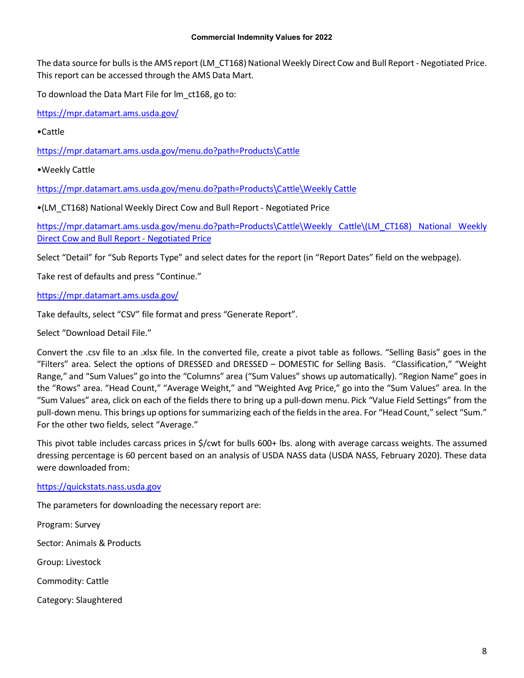The data source for bulls is the AMS report (LM\_CT168) National Weekly Direct Cow and Bull Report - Negotiated Price. This report can be accessed through the AMS Data Mart.

To download the Data Mart File for lm\_ct168, go to:

<https://mpr.datamart.ams.usda.gov/>

•Cattle

[https://mpr.datamart.ams.usda.gov/menu.do?path=Products\Cattle](https://mpr.datamart.ams.usda.gov/menu.do?path=Products%5CCattle)

•Weekly Cattle

[https://mpr.datamart.ams.usda.gov/menu.do?path=Products\Cattle\Weekly Cattle](https://mpr.datamart.ams.usda.gov/menu.do?path=Products%5CCattle%5CWeekly%20Cattle)

•(LM\_CT168) National Weekly Direct Cow and Bull Report - Negotiated Price

[https://mpr.datamart.ams.usda.gov/menu.do?path=Products\Cattle\Weekly Cattle\\(LM\\_CT168\) National Weekly](https://mpr.datamart.ams.usda.gov/menu.do?path=Products%5CCattle%5CWeekly%20Cattle%5C(LM_CT168)%20National%20Weekly%20Direct%20Cow%20and%20Bull%20Report%20-%20Negotiated%20Price)  [Direct Cow and Bull Report -](https://mpr.datamart.ams.usda.gov/menu.do?path=Products%5CCattle%5CWeekly%20Cattle%5C(LM_CT168)%20National%20Weekly%20Direct%20Cow%20and%20Bull%20Report%20-%20Negotiated%20Price) Negotiated Price

Select "Detail" for "Sub Reports Type" and select dates for the report (in "Report Dates" field on the webpage).

Take rest of defaults and press "Continue."

[https://mpr.datamart.ams.usda.gov/](mailto:vs.ceah@usda.gov)

Take defaults, select "CSV" file format and press "Generate Report".

Select "Download Detail File."

Convert the .csv file to an .xlsx file. In the converted file, create a pivot table as follows. "Selling Basis" goes in the "Filters" area. Select the options of DRESSED and DRESSED – DOMESTIC for Selling Basis. "Classification," "Weight Range," and "Sum Values" go into the "Columns" area ("Sum Values" shows up automatically). "Region Name" goes in the "Rows" area. "Head Count," "Average Weight," and "Weighted Avg Price," go into the "Sum Values" area. In the "Sum Values" area, click on each of the fields there to bring up a pull-down menu. Pick "Value Field Settings" from the pull-down menu. This brings up options for summarizing each of the fields in the area. For "Head Count," select "Sum." For the other two fields, select "Average."

This pivot table includes carcass prices in \$/cwt for bulls 600+ lbs. along with average carcass weights. The assumed dressing percentage is 60 percent based on an analysis of USDA NASS data (USDA NASS, February 2020). These data were downloaded from:

#### [https://quickstats.nass.usda.gov](https://quickstats.nass.usda.gov/)

The parameters for downloading the necessary report are:

Program: Survey Sector: Animals & Products Group: Livestock Commodity: Cattle Category: Slaughtered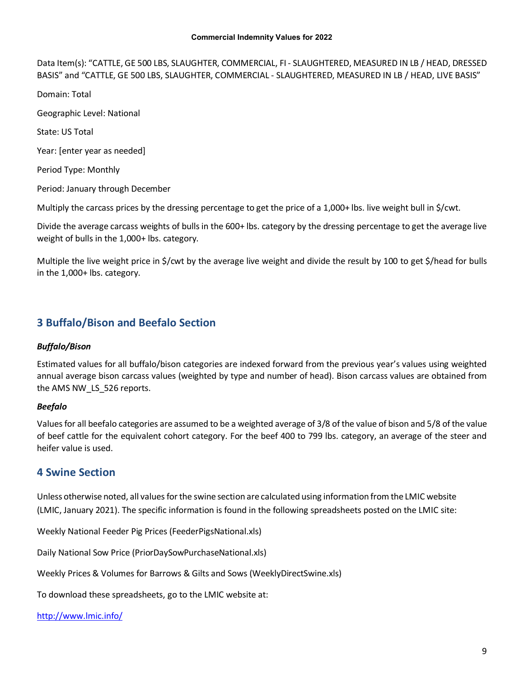Data Item(s): "CATTLE, GE 500 LBS, SLAUGHTER, COMMERCIAL, FI - SLAUGHTERED, MEASURED IN LB / HEAD, DRESSED BASIS" and "CATTLE, GE 500 LBS, SLAUGHTER, COMMERCIAL - SLAUGHTERED, MEASURED IN LB / HEAD, LIVE BASIS"

Domain: Total

Geographic Level: National

State: US Total

Year: [enter year as needed]

Period Type: Monthly

Period: January through December

Multiply the carcass prices by the dressing percentage to get the price of a 1,000+ lbs. live weight bull in \$/cwt.

Divide the average carcass weights of bulls in the 600+ lbs. category by the dressing percentage to get the average live weight of bulls in the 1,000+ lbs. category.

Multiple the live weight price in \$/cwt by the average live weight and divide the result by 100 to get \$/head for bulls in the 1,000+ lbs. category.

### <span id="page-14-0"></span>**3 Buffalo/Bison and Beefalo Section**

### *Buffalo/Bison*

Estimated values for all buffalo/bison categories are indexed forward from the previous year's values using weighted annual average bison carcass values (weighted by type and number of head). Bison carcass values are obtained from the AMS NW\_LS\_526 reports.

### *Beefalo*

Values for all beefalo categories are assumed to be a weighted average of 3/8 of the value of bison and 5/8 of the value of beef cattle for the equivalent cohort category. For the beef 400 to 799 lbs. category, an average of the steer and heifer value is used.

### <span id="page-14-1"></span>**4 Swine Section**

Unless otherwise noted, all values for the swine section are calculated using information from the LMIC website (LMIC, January 2021). The specific information is found in the following spreadsheets posted on the LMIC site:

Weekly National Feeder Pig Prices (FeederPigsNational.xls)

Daily National Sow Price (PriorDaySowPurchaseNational.xls)

Weekly Prices & Volumes for Barrows & Gilts and Sows (WeeklyDirectSwine.xls)

To download these spreadsheets, go to the LMIC website at:

<http://www.lmic.info/>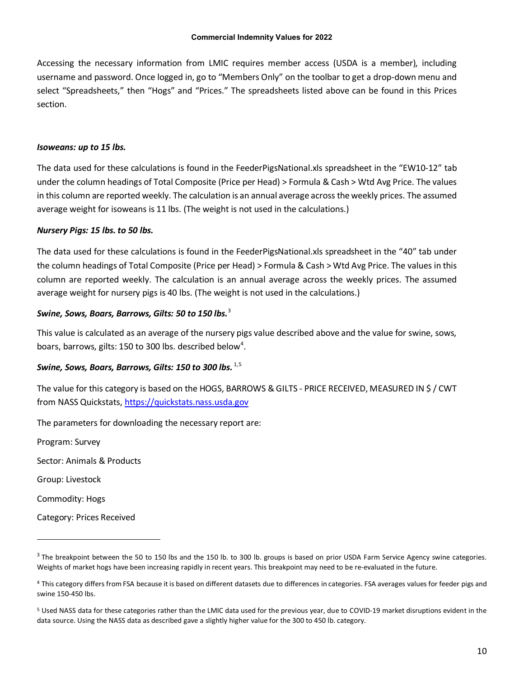Accessing the necessary information from LMIC requires member access (USDA is a member), including username and password. Once logged in, go to "Members Only" on the toolbar to get a drop-down menu and select "Spreadsheets," then "Hogs" and "Prices." The spreadsheets listed above can be found in this Prices section.

#### *Isoweans: up to 15 lbs.*

The data used for these calculations is found in the FeederPigsNational.xls spreadsheet in the "EW10-12" tab under the column headings of Total Composite (Price per Head) > Formula & Cash > Wtd Avg Price. The values in this column are reported weekly. The calculation is an annual average across the weekly prices. The assumed average weight for isoweans is 11 lbs. (The weight is not used in the calculations.)

### *Nursery Pigs: 15 lbs. to 50 lbs.*

The data used for these calculations is found in the FeederPigsNational.xls spreadsheet in the "40" tab under the column headings of Total Composite (Price per Head) > Formula & Cash > Wtd Avg Price. The values in this column are reported weekly. The calculation is an annual average across the weekly prices. The assumed average weight for nursery pigs is 40 lbs. (The weight is not used in the calculations.)

#### *Swine, Sows, Boars, Barrows, Gilts: 50 to 150 lbs.*[3](#page-15-0)

This value is calculated as an average of the nursery pigs value described above and the value for swine, sows, boars, barrows, gilts: 150 to 300 lbs. described below<sup>[4](#page-15-1)</sup>.

### <span id="page-15-3"></span>*Swine, Sows, Boars, Barrows, Gilts: 150 to 300 lbs.* 1,[5](#page-15-2)

The value for this category is based on the HOGS, BARROWS & GILTS - PRICE RECEIVED, MEASURED IN \$ / CWT from NASS Quickstats[, https://quickstats.nass.usda.gov](https://quickstats.nass.usda.gov/)

The parameters for downloading the necessary report are:

Program: Survey Sector: Animals & Products Group: Livestock Commodity: Hogs Category: Prices Received

<span id="page-15-0"></span> $3$  The breakpoint between the 50 to 150 lbs and the 150 lb. to 300 lb. groups is based on prior USDA Farm Service Agency swine categories. Weights of market hogs have been increasing rapidly in recent years. This breakpoint may need to be re-evaluated in the future.

<span id="page-15-1"></span><sup>4</sup> This category differs from FSA because it is based on different datasets due to differences in categories. FSA averages values for feeder pigs and swine 150-450 lbs.

<span id="page-15-2"></span><sup>5</sup> Used NASS data for these categories rather than the LMIC data used for the previous year, due to COVID-19 market disruptions evident in the data source. Using the NASS data as described gave a slightly higher value for the 300 to 450 lb. category.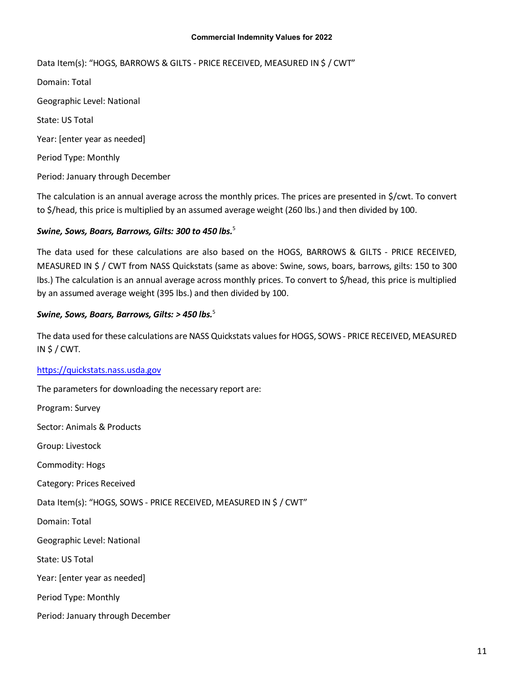#### **Commercial Indemnity Values for 2022**

Data Item(s): "HOGS, BARROWS & GILTS - PRICE RECEIVED, MEASURED IN \$ / CWT" Domain: Total Geographic Level: National State: US Total Year: [enter year as needed] Period Type: Monthly Period: January through December

The calculation is an annual average across the monthly prices. The prices are presented in \$/cwt. To convert to \$/head, this price is multiplied by an assumed average weight (260 lbs.) and then divided by 100.

#### *Swine, Sows, Boars, Barrows, Gilts: 300 to 450 lbs[.](#page-15-3)*<sup>5</sup>

The data used for these calculations are also based on the HOGS, BARROWS & GILTS - PRICE RECEIVED, MEASURED IN \$ / CWT from NASS Quickstats (same as above: Swine, sows, boars, barrows, gilts: 150 to 300 lbs.) The calculation is an annual average across monthly prices. To convert to \$/head, this price is multiplied by an assumed average weight (395 lbs.) and then divided by 100.

#### *Swine, Sows, Boars, Barrows, Gilts: > 450 lbs[.](#page-15-3)*<sup>5</sup>

The data used for these calculations are NASS Quickstats values for HOGS, SOWS - PRICE RECEIVED, MEASURED IN \$ / CWT.

#### [https://quickstats.nass.usda.gov](https://quickstats.nass.usda.gov/)

The parameters for downloading the necessary report are:

Program: Survey Sector: Animals & Products Group: Livestock Commodity: Hogs Category: Prices Received Data Item(s): "HOGS, SOWS - PRICE RECEIVED, MEASURED IN \$ / CWT" Domain: Total Geographic Level: National State: US Total Year: [enter year as needed] Period Type: Monthly Period: January through December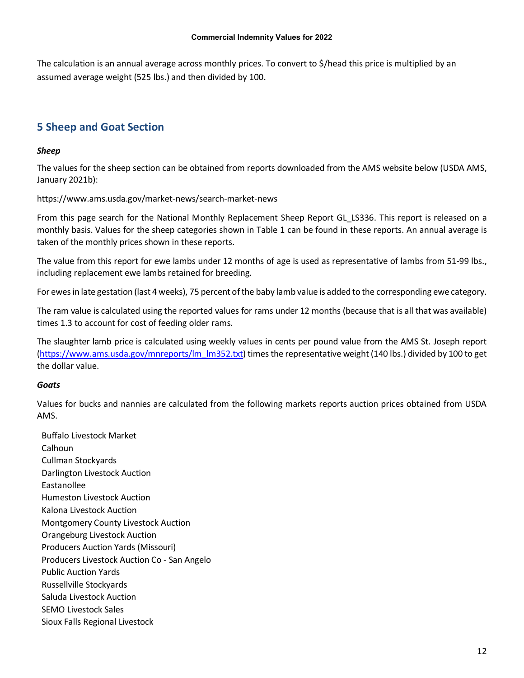The calculation is an annual average across monthly prices. To convert to \$/head this price is multiplied by an assumed average weight (525 lbs.) and then divided by 100.

### <span id="page-17-0"></span>**5 Sheep and Goat Section**

### *Sheep*

The values for the sheep section can be obtained from reports downloaded from the AMS website below (USDA AMS, January 2021b):

[https://www.ams.usda.gov/market-news/search-market-news](mailto:kenneth.w.forsythe@usda.gov)

From this page search for the National Monthly Replacement Sheep Report GL\_LS336. This report is released on a monthly basis. Values for the sheep categories shown in Table 1 can be found in these reports. An annual average is taken of the monthly prices shown in these reports.

The value from this report for ewe lambs under 12 months of age is used as representative of lambs from 51-99 lbs., including replacement ewe lambs retained for breeding.

For ewes in late gestation (last 4 weeks), 75 percent of the baby lamb value is added to the corresponding ewe category.

The ram value is calculated using the reported values for rams under 12 months (because that is all that was available) times 1.3 to account for cost of feeding older rams.

The slaughter lamb price is calculated using weekly values in cents per pound value from the AMS St. Joseph report [\(https://www.ams.usda.gov/mnreports/lm\\_lm352.txt\)](https://gcc02.safelinks.protection.outlook.com/?url=https%3A%2F%2Fwww.ams.usda.gov%2Fmnreports%2Flm_lm352.txt&data=04%7C01%7C%7C2b8d97ef4ad242f95d3b08d8be3521c6%7Ced5b36e701ee4ebc867ee03cfa0d4697%7C0%7C0%7C637468482693223533%7CUnknown%7CTWFpbGZsb3d8eyJWIjoiMC4wLjAwMDAiLCJQIjoiV2luMzIiLCJBTiI6Ik1haWwiLCJXVCI6Mn0%3D%7C1000&sdata=L%2BCLHDQx1n9vHx92fp9OJWmGXtK0SLI4NPXSrLCLfgM%3D&reserved=0) times the representative weight (140 lbs.) divided by 100 to get the dollar value.

### *Goats*

Values for bucks and nannies are calculated from the following markets reports auction prices obtained from USDA AMS.

Buffalo Livestock Market Calhoun Cullman Stockyards Darlington Livestock Auction Eastanollee Humeston Livestock Auction Kalona Livestock Auction Montgomery County Livestock Auction Orangeburg Livestock Auction Producers Auction Yards (Missouri) Producers Livestock Auction Co - San Angelo Public Auction Yards Russellville Stockyards Saluda Livestock Auction SEMO Livestock Sales Sioux Falls Regional Livestock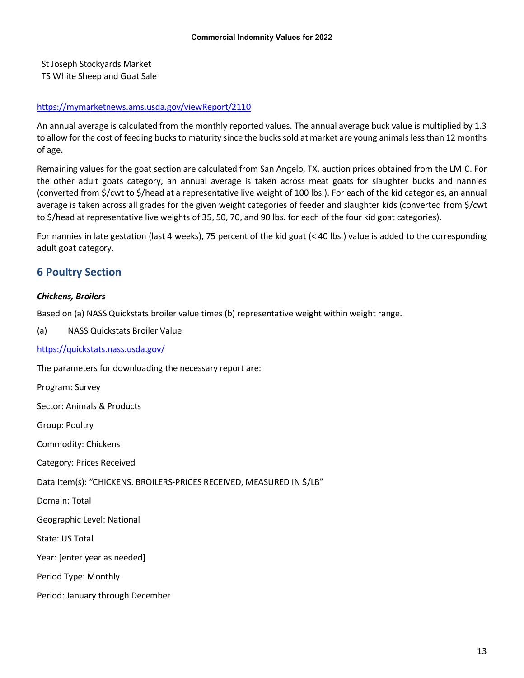St Joseph Stockyards Market TS White Sheep and Goat Sale

### <https://mymarketnews.ams.usda.gov/viewReport/2110>

An annual average is calculated from the monthly reported values. The annual average buck value is multiplied by 1.3 to allow for the cost of feeding bucks to maturity since the bucks sold at market are young animals less than 12 months of age.

Remaining values for the goat section are calculated from San Angelo, TX, auction prices obtained from the LMIC. For the other adult goats category, an annual average is taken across meat goats for slaughter bucks and nannies (converted from \$/cwt to \$/head at a representative live weight of 100 lbs.). For each of the kid categories, an annual average is taken across all grades for the given weight categories of feeder and slaughter kids (converted from \$/cwt to \$/head at representative live weights of 35, 50, 70, and 90 lbs. for each of the four kid goat categories).

For nannies in late gestation (last 4 weeks), 75 percent of the kid goat (< 40 lbs.) value is added to the corresponding adult goat category.

### <span id="page-18-0"></span>**6 Poultry Section**

#### *Chickens, Broilers*

Based on (a) NASS Quickstats broiler value times (b) representative weight within weight range.

(a) NASS Quickstats Broiler Value

<https://quickstats.nass.usda.gov/>

The parameters for downloading the necessary report are:

Program: Survey Sector: Animals & Products Group: Poultry Commodity: Chickens Category: Prices Received Data Item(s): "CHICKENS. BROILERS-PRICES RECEIVED, MEASURED IN \$/LB" Domain: Total Geographic Level: National State: US Total Year: [enter year as needed] Period Type: Monthly Period: January through December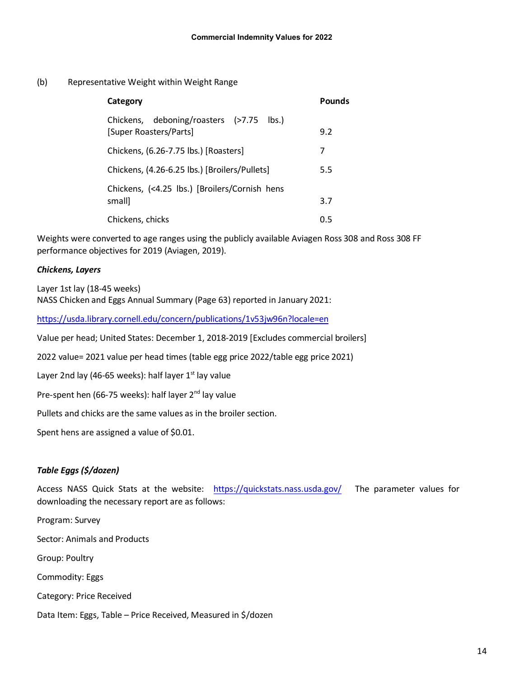#### (b) Representative Weight within Weight Range

| Category                                                             | Pounds |
|----------------------------------------------------------------------|--------|
| Chickens, deboning/roasters (>7.75<br>lbs.<br>[Super Roasters/Parts] | 9.2    |
| Chickens, (6.26-7.75 lbs.) [Roasters]                                | 7      |
| Chickens, (4.26-6.25 lbs.) [Broilers/Pullets]                        | 5.5    |
| Chickens, (<4.25 lbs.) [Broilers/Cornish hens<br>small]              | 3.7    |
| Chickens, chicks                                                     | 0.5    |

Weights were converted to age ranges using the publicly available Aviagen Ross 308 and Ross 308 FF performance objectives for 2019 (Aviagen, 2019).

### *Chickens, Layers*

Layer 1st lay (18-45 weeks) NASS Chicken and Eggs Annual Summary (Page 63) reported in January 2021:

<https://usda.library.cornell.edu/concern/publications/1v53jw96n?locale=en>

Value per head; United States: December 1, 2018-2019 [Excludes commercial broilers]

2022 value= 2021 value per head times (table egg price 2022/table egg price 2021)

Layer 2nd lay (46-65 weeks): half layer  $1<sup>st</sup>$  lay value

Pre-spent hen (66-75 weeks): half layer 2<sup>nd</sup> lay value

Pullets and chicks are the same values as in the broiler section.

Spent hens are assigned a value of \$0.01.

### *Table Eggs (\$/dozen)*

Access NASS Quick Stats at the website: <https://quickstats.nass.usda.gov/> The parameter values for downloading the necessary report are as follows:

Program: Survey Sector: Animals and Products

Group: Poultry

Commodity: Eggs

Category: Price Received

Data Item: Eggs, Table – Price Received, Measured in \$/dozen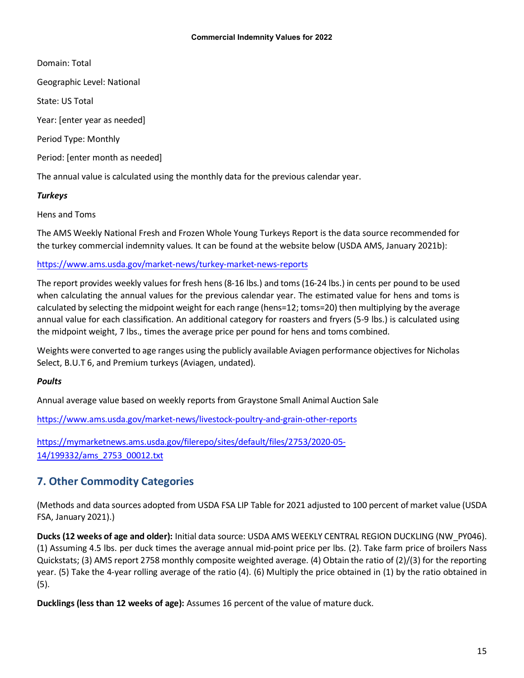Domain: Total Geographic Level: National State: US Total Year: [enter year as needed] Period Type: Monthly Period: [enter month as needed] The annual value is calculated using the monthly data for the previous calendar year.

### *Turkeys*

Hens and Toms

The AMS Weekly National Fresh and Frozen Whole Young Turkeys Report is the data source recommended for the turkey commercial indemnity values. It can be found at the website below (USDA AMS, January 2021b):

<https://www.ams.usda.gov/market-news/turkey-market-news-reports>

The report provides weekly values for fresh hens (8-16 lbs.) and toms (16-24 lbs.) in cents per pound to be used when calculating the annual values for the previous calendar year. The estimated value for hens and toms is calculated by selecting the midpoint weight for each range (hens=12; toms=20) then multiplying by the average annual value for each classification. An additional category for roasters and fryers (5-9 lbs.) is calculated using the midpoint weight, 7 lbs., times the average price per pound for hens and toms combined.

Weights were converted to age ranges using the publicly available Aviagen performance objectives for Nicholas Select, B.U.T 6, and Premium turkeys (Aviagen, undated).

### *Poults*

Annual average value based on weekly reports from Graystone Small Animal Auction Sale

[https://www.ams.usda.gov/market-news/livestock-poultry-and-grain-other-reports](https://www.ams.usda.gov/market-news/search-market-news)

[https://mymarketnews.ams.usda.gov/filerepo/sites/default/files/2753/2020-05-](https://mymarketnews.ams.usda.gov/filerepo/sites/default/files/2753/2020-05-14/199332/ams_2753_00012.txt) [14/199332/ams\\_2753\\_00012.txt](https://mymarketnews.ams.usda.gov/filerepo/sites/default/files/2753/2020-05-14/199332/ams_2753_00012.txt)

### <span id="page-20-0"></span>**7. Other Commodity Categories**

(Methods and data sources adopted from USDA FSA LIP Table for 2021 adjusted to 100 percent of market value (USDA FSA, January 2021).)

**Ducks (12 weeks of age and older):** Initial data source: USDA AMS WEEKLY CENTRAL REGION DUCKLING (NW\_PY046). (1) Assuming 4.5 lbs. per duck times the average annual mid-point price per lbs. (2). Take farm price of broilers Nass Quickstats; (3) AMS report 2758 monthly composite weighted average. (4) Obtain the ratio of (2)/(3) for the reporting year. (5) Take the 4-year rolling average of the ratio (4). (6) Multiply the price obtained in (1) by the ratio obtained in (5).

**Ducklings (less than 12 weeks of age):** Assumes 16 percent of the value of mature duck.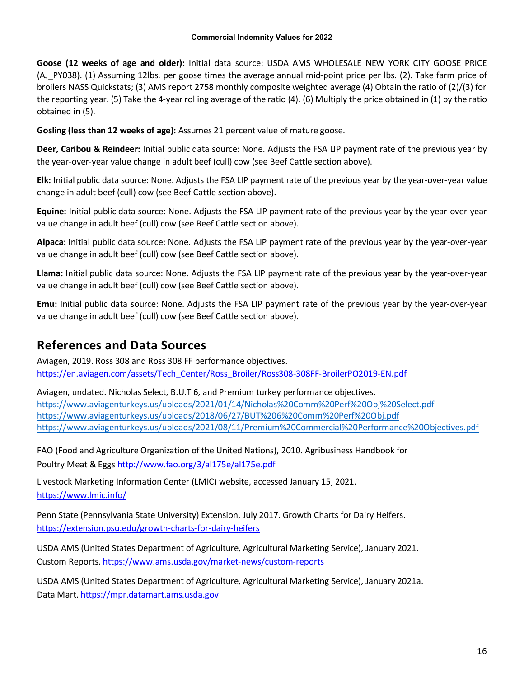**Goose (12 weeks of age and older):** Initial data source: USDA AMS WHOLESALE NEW YORK CITY GOOSE PRICE (AJ\_PY038). (1) Assuming 12lbs. per goose times the average annual mid-point price per lbs. (2). Take farm price of broilers NASS Quickstats; (3) AMS report 2758 monthly composite weighted average (4) Obtain the ratio of (2)/(3) for the reporting year. (5) Take the 4-year rolling average of the ratio (4). (6) Multiply the price obtained in (1) by the ratio obtained in (5).

**Gosling (less than 12 weeks of age):** Assumes 21 percent value of mature goose.

**Deer, Caribou & Reindeer:** Initial public data source: None. Adjusts the FSA LIP payment rate of the previous year by the year-over-year value change in adult beef (cull) cow (see Beef Cattle section above).

**Elk:** Initial public data source: None. Adjusts the FSA LIP payment rate of the previous year by the year-over-year value change in adult beef (cull) cow (see Beef Cattle section above).

**Equine:** Initial public data source: None. Adjusts the FSA LIP payment rate of the previous year by the year-over-year value change in adult beef (cull) cow (see Beef Cattle section above).

**Alpaca:** Initial public data source: None. Adjusts the FSA LIP payment rate of the previous year by the year-over-year value change in adult beef (cull) cow (see Beef Cattle section above).

**Llama:** Initial public data source: None. Adjusts the FSA LIP payment rate of the previous year by the year-over-year value change in adult beef (cull) cow (see Beef Cattle section above).

**Emu:** Initial public data source: None. Adjusts the FSA LIP payment rate of the previous year by the year-over-year value change in adult beef (cull) cow (see Beef Cattle section above).

### <span id="page-21-0"></span>**References and Data Sources**

Aviagen, 2019. Ross 308 and Ross 308 FF performance objectives. [https://en.aviagen.com/assets/Tech\\_Center/Ross\\_Broiler/Ross308-308FF-BroilerPO2019-EN.pdf](https://en.aviagen.com/assets/Tech_Center/Ross_Broiler/Ross308-308FF-BroilerPO2019-EN.pdf)

Aviagen, undated. Nicholas Select, B.U.T 6, and Premium turkey performance objectives. [https://www.aviagenturkeys.us/uploads/2021/01/14/Nicholas%20Comm%20Perf%20Obj%20Select.pdf](https://gcc02.safelinks.protection.outlook.com/?url=https%3A%2F%2Fwww.aviagenturkeys.us%2Fuploads%2F2021%2F01%2F14%2FNicholas%2520Comm%2520Perf%2520Obj%2520Select.pdf&data=04%7C01%7C%7C00927543fb574da2f7cf08d9efce764a%7Ced5b36e701ee4ebc867ee03cfa0d4697%7C0%7C0%7C637804492286874020%7CUnknown%7CTWFpbGZsb3d8eyJWIjoiMC4wLjAwMDAiLCJQIjoiV2luMzIiLCJBTiI6Ik1haWwiLCJXVCI6Mn0%3D%7C3000&sdata=i0HMHBfofr5NuHZ%2FdZg99LRFu%2BT3l11K3Oi15LWl6Pg%3D&reserved=0) [https://www.aviagenturkeys.us/uploads/2018/06/27/BUT%206%20Comm%20Perf%20Obj.pdf](https://gcc02.safelinks.protection.outlook.com/?url=https%3A%2F%2Fwww.aviagenturkeys.us%2Fuploads%2F2018%2F06%2F27%2FBUT%25206%2520Comm%2520Perf%2520Obj.pdf&data=04%7C01%7C%7C00927543fb574da2f7cf08d9efce764a%7Ced5b36e701ee4ebc867ee03cfa0d4697%7C0%7C0%7C637804492286874020%7CUnknown%7CTWFpbGZsb3d8eyJWIjoiMC4wLjAwMDAiLCJQIjoiV2luMzIiLCJBTiI6Ik1haWwiLCJXVCI6Mn0%3D%7C3000&sdata=APtWtk%2B%2FEO232jQ3HlYFUXLQN%2FXvk3fSQsJbu1oulJw%3D&reserved=0) [https://www.aviagenturkeys.us/uploads/2021/08/11/Premium%20Commercial%20Performance%20Objectives.pdf](https://gcc02.safelinks.protection.outlook.com/?url=https%3A%2F%2Fwww.aviagenturkeys.us%2Fuploads%2F2021%2F08%2F11%2FPremium%2520Commercial%2520Performance%2520Objectives.pdf&data=04%7C01%7C%7C00927543fb574da2f7cf08d9efce764a%7Ced5b36e701ee4ebc867ee03cfa0d4697%7C0%7C0%7C637804492286874020%7CUnknown%7CTWFpbGZsb3d8eyJWIjoiMC4wLjAwMDAiLCJQIjoiV2luMzIiLCJBTiI6Ik1haWwiLCJXVCI6Mn0%3D%7C3000&sdata=qHqfSJHVCVrtbAUBnFZW%2BIu0JK%2BDXdYUd46oySKYIUU%3D&reserved=0)

FAO (Food and Agriculture Organization of the United Nations), 2010. Agribusiness Handbook for Poultry Meat & Eggs <http://www.fao.org/3/al175e/al175e.pdf>

Livestock Marketing Information Center (LMIC) website, accessed January 15, 2021. <https://www.lmic.info/>

Penn State (Pennsylvania State University) Extension, July 2017. Growth Charts for Dairy Heifers. <https://extension.psu.edu/growth-charts-for-dairy-heifers>

USDA AMS (United States Department of Agriculture, Agricultural Marketing Service), January 2021. Custom Reports.<https://www.ams.usda.gov/market-news/custom-reports>

USDA AMS (United States Department of Agriculture, Agricultural Marketing Service), January 2021a. Data Mart. [https://mpr.datamart.ams.usda.gov](https://mpr.datamart.ams.usda.gov/)